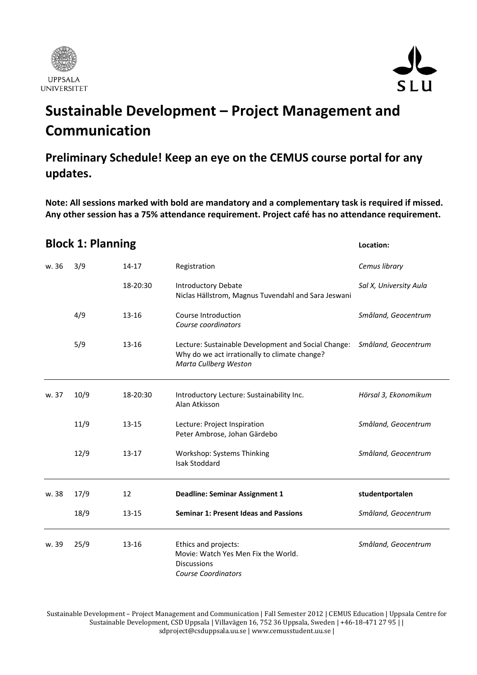



# **Sustainable Development – Project Management and Communication**

#### **Preliminary Schedule! Keep an eye on the CEMUS course portal for any updates.**

**Note: All sessions marked with bold are mandatory and a complementary task is required if missed. Any other session has a 75% attendance requirement. Project café has no attendance requirement.**

#### **Block 1: Planning Location:**

| w. 36 | 3/9  | 14-17     | Registration                                                                                                                  | Cemus library          |
|-------|------|-----------|-------------------------------------------------------------------------------------------------------------------------------|------------------------|
|       |      | 18-20:30  | <b>Introductory Debate</b><br>Niclas Hällstrom, Magnus Tuvendahl and Sara Jeswani                                             | Sal X, University Aula |
|       | 4/9  | $13 - 16$ | Course Introduction<br>Course coordinators                                                                                    | Småland, Geocentrum    |
|       | 5/9  | $13 - 16$ | Lecture: Sustainable Development and Social Change:<br>Why do we act irrationally to climate change?<br>Marta Cullberg Weston | Småland, Geocentrum    |
| w. 37 | 10/9 | 18-20:30  | Introductory Lecture: Sustainability Inc.<br>Alan Atkisson                                                                    | Hörsal 3, Ekonomikum   |
|       | 11/9 | $13 - 15$ | Lecture: Project Inspiration<br>Peter Ambrose, Johan Gärdebo                                                                  | Småland, Geocentrum    |
|       | 12/9 | $13 - 17$ | Workshop: Systems Thinking<br><b>Isak Stoddard</b>                                                                            | Småland, Geocentrum    |
| w. 38 | 17/9 | 12        | <b>Deadline: Seminar Assignment 1</b>                                                                                         | studentportalen        |
|       | 18/9 | $13 - 15$ | <b>Seminar 1: Present Ideas and Passions</b>                                                                                  | Småland, Geocentrum    |
| w. 39 | 25/9 | $13 - 16$ | Ethics and projects:<br>Movie: Watch Yes Men Fix the World.<br><b>Discussions</b><br><b>Course Coordinators</b>               | Småland, Geocentrum    |

Sustainable Development – Project Management and Communication | Fall Semester 2012 | CEMUS Education | Uppsala Centre for Sustainable Development, CSD Uppsala | Villavägen 16, 752 36 Uppsala, Sweden | +46‐18‐471 27 95 | | sdproject@csduppsala.uu.se | www.cemusstudent.uu.se |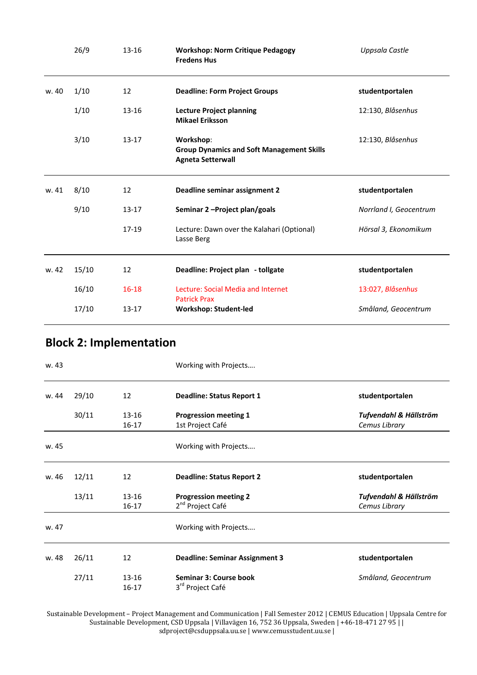|       | 26/9  | $13 - 16$ | <b>Workshop: Norm Critique Pedagogy</b><br><b>Fredens Hus</b>                             | Uppsala Castle         |
|-------|-------|-----------|-------------------------------------------------------------------------------------------|------------------------|
| w. 40 | 1/10  | 12        | <b>Deadline: Form Project Groups</b>                                                      | studentportalen        |
|       | 1/10  | $13 - 16$ | <b>Lecture Project planning</b><br><b>Mikael Eriksson</b>                                 | 12:130, Blåsenhus      |
|       | 3/10  | $13 - 17$ | Workshop:<br><b>Group Dynamics and Soft Management Skills</b><br><b>Agneta Setterwall</b> | 12:130, Blåsenhus      |
| w. 41 | 8/10  | 12        | Deadline seminar assignment 2                                                             | studentportalen        |
|       | 9/10  | $13 - 17$ | Seminar 2-Project plan/goals                                                              | Norrland I, Geocentrum |
|       |       | 17-19     | Lecture: Dawn over the Kalahari (Optional)<br>Lasse Berg                                  | Hörsal 3, Ekonomikum   |
| w. 42 | 15/10 | 12        | Deadline: Project plan - tollgate                                                         | studentportalen        |
|       | 16/10 | $16 - 18$ | Lecture: Social Media and Internet<br><b>Patrick Prax</b>                                 | 13:027, Blåsenhus      |
|       | 17/10 | $13 - 17$ | <b>Workshop: Student-led</b>                                                              | Småland, Geocentrum    |

### **Block 2: Implementation**

| w. 43 |       |                      | Working with Projects                                        |                                         |
|-------|-------|----------------------|--------------------------------------------------------------|-----------------------------------------|
| w. 44 | 29/10 | 12                   | <b>Deadline: Status Report 1</b>                             | studentportalen                         |
|       | 30/11 | 13-16<br>$16 - 17$   | <b>Progression meeting 1</b><br>1st Project Café             | Tufvendahl & Hällström<br>Cemus Library |
| w. 45 |       |                      | Working with Projects                                        |                                         |
| w. 46 | 12/11 | 12                   | <b>Deadline: Status Report 2</b>                             | studentportalen                         |
|       | 13/11 | $13 - 16$<br>$16-17$ | <b>Progression meeting 2</b><br>2 <sup>nd</sup> Project Café | Tufvendahl & Hällström<br>Cemus Library |
| w. 47 |       |                      | Working with Projects                                        |                                         |
| w. 48 | 26/11 | 12                   | <b>Deadline: Seminar Assignment 3</b>                        | studentportalen                         |
|       | 27/11 | 13-16<br>$16-17$     | Seminar 3: Course book<br>3rd Project Café                   | Småland, Geocentrum                     |

Sustainable Development – Project Management and Communication | Fall Semester 2012 | CEMUS Education | Uppsala Centre for Sustainable Development, CSD Uppsala | Villavägen 16, 752 36 Uppsala, Sweden | +46‐18‐471 27 95 | | sdproject@csduppsala.uu.se | www.cemusstudent.uu.se |